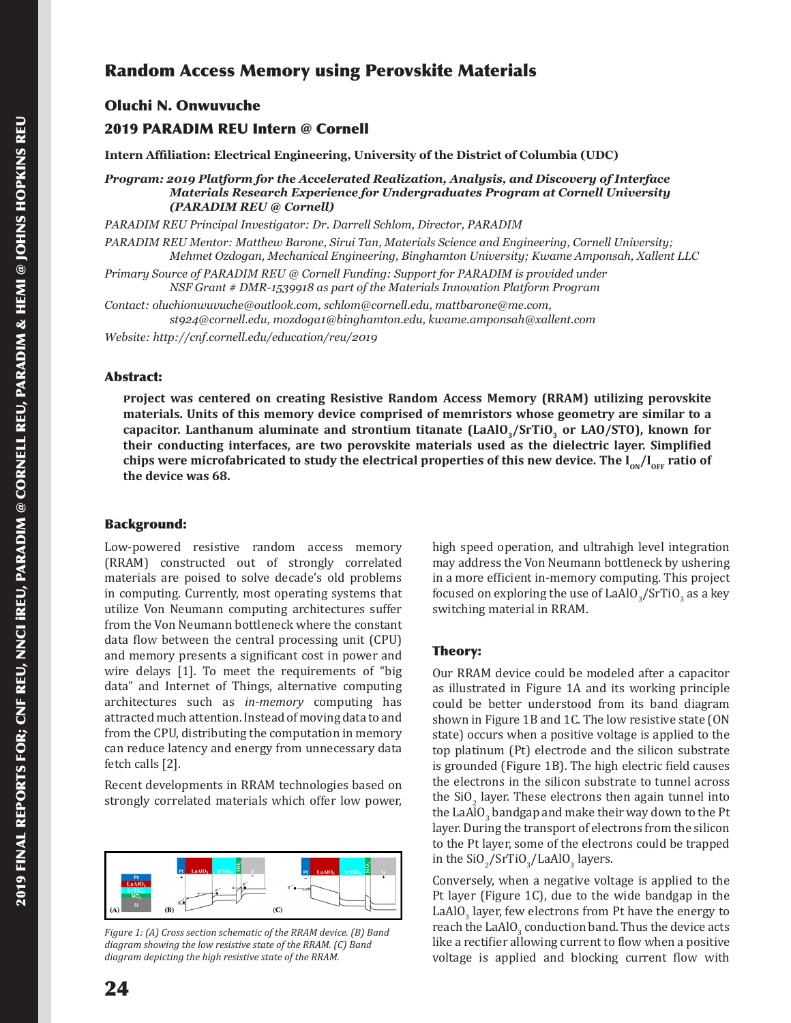# Random Access Memory using Perovskite Materials

# Oluchi N. Onwuvuche

# 2019 PARADIM REU Intern @ Cornell

**Intern Affiliation: Electrical Engineering, University of the District of Columbia (UDC)**

*Program: 2019 Platform for the Accelerated Realization, Analysis, and Discovery of Interface Materials Research Experience for Undergraduates Program at Cornell University (PARADIM REU @ Cornell)*

*PARADIM REU Principal Investigator: Dr. Darrell Schlom, Director, PARADIM*

*PARADIM REU Mentor: Matthew Barone, Sirui Tan, Materials Science and Engineering, Cornell University; Mehmet Ozdogan, Mechanical Engineering, Binghamton University; Kwame Amponsah, Xallent LLC*

*Primary Source of PARADIM REU @ Cornell Funding: Support for PARADIM is provided under NSF Grant # DMR-1539918 as part of the Materials Innovation Platform Program*

*Contact: oluchionwuvuche@outlook.com, schlom@cornell.edu, mattbarone@me.com, st924@cornell.edu, mozdoga1@binghamton.edu, kwame.amponsah@xallent.com*

*Website: http://cnf.cornell.edu/education/reu/2019*

#### Abstract:

**�roject was centered on creating Resistive Random Access Memory (RRAM) utilizing perovskite materials. Units of this memory device comprised of memristors whose geometry are similar to a capacitor. Lanthanum aluminate and strontium titanate (LaAlO3/SrTiO3 or LAO/STO), known for their conducting interfaces, are two perovskite materials used as the dielectric layer. Simplified**  chips were microfabricated to study the electrical properties of this new device. The I<sub>ON</sub>/I<sub>OFF</sub> ratio of **the device was 68.**

#### Background:

Low-powered resistive random access memory (RRAM) constructed out of strongly correlated materials are poised to solve decade's old problems in computing. Currently, most operating systems that utilize Von Neumann computing architectures suffer from the Von Neumann bottleneck where the constant data flow between the central processing unit (CPU) and memory presents a significant cost in power and wire delays [1]. To meet the requirements of "big data" and Internet of Things, alternative computing architectures such as *in-memory* computing has attracted much attention. Instead of moving data to and from the CPU, distributing the computation in memory can reduce latency and energy from unnecessary data fetch calls [2].

Recent developments in RRAM technologies based on strongly correlated materials which offer low power,



*Figure 1: (A) Cross section schematic of the RRAM device. (B) Band diagram showing the low resistive state of the RRAM. (C) Band diagram depicting the high resistive state of the RRAM.*

high speed operation, and ultrahigh level integration may address the Von Neumann bottleneck by ushering in a more efficient in-memory computing. This project focused on exploring the use of  $LaAlO_3/SrTiO_3$  as a key switching material in RRAM.

#### Theory:

Our RRAM device could be modeled after a capacitor as illustrated in Figure 1A and its working principle could be better understood from its band diagram shown in Figure 1B and 1C. The low resistive state (ON state) occurs when a positive voltage is applied to the top platinum (Pt) electrode and the silicon substrate is grounded (Figure 1B). The high electric field causes the electrons in the silicon substrate to tunnel across the  $\text{SU}_2$  layer. These electrons then again tunnel into the LaAlO<sub>3</sub> bandgap and make their way down to the Pt layer. During the transport of electrons from the silicon to the Pt layer, some of the electrons could be trapped in the SiO<sub>2</sub>/SrTiO<sub>3</sub>/LaAlO<sub>3</sub> layers.

Conversely, when a negative voltage is applied to the Pt layer (Figure 1C), due to the wide bandgap in the LaAlO<sub>3</sub> layer, few electrons from Pt have the energy to reach the LaAlO<sub>3</sub> conduction band. Thus the device acts like a rectifier allowing current to flow when a positive voltage is applied and blocking current flow with